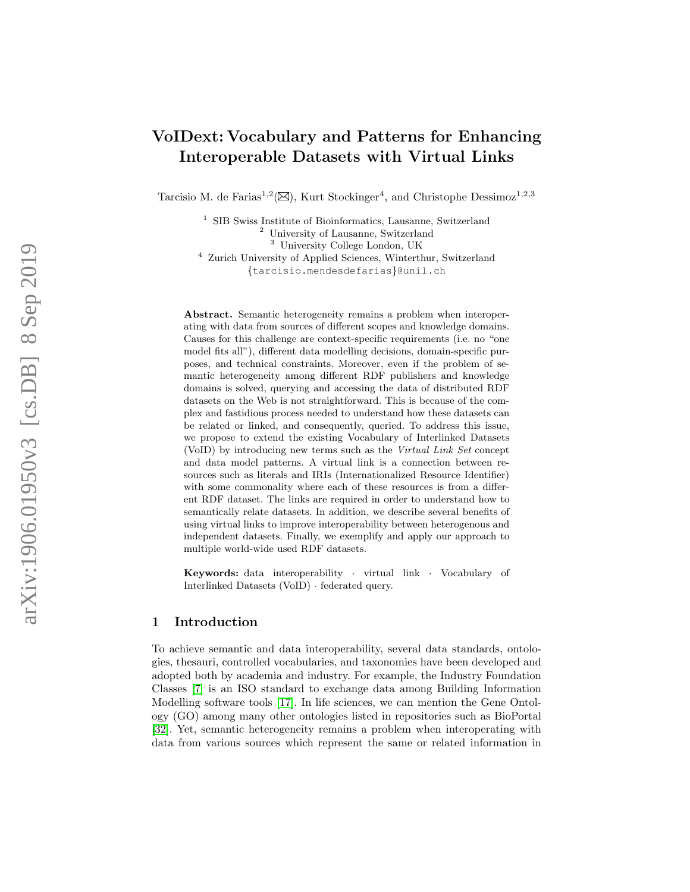# VoIDext: Vocabulary and Patterns for Enhancing Interoperable Datasets with Virtual Links

Tarcisio M. de Farias<sup>1,2</sup>( $\boxtimes$ ), Kurt Stockinger<sup>4</sup>, and Christophe Dessimoz<sup>1,2,3</sup>

<sup>1</sup> SIB Swiss Institute of Bioinformatics, Lausanne, Switzerland <sup>2</sup> University of Lausanne, Switzerland <sup>3</sup> University College London, UK <sup>4</sup> Zurich University of Applied Sciences, Winterthur, Switzerland {tarcisio.mendesdefarias}@unil.ch

Abstract. Semantic heterogeneity remains a problem when interoperating with data from sources of different scopes and knowledge domains. Causes for this challenge are context-specific requirements (i.e. no "one model fits all"), different data modelling decisions, domain-specific purposes, and technical constraints. Moreover, even if the problem of semantic heterogeneity among different RDF publishers and knowledge domains is solved, querying and accessing the data of distributed RDF datasets on the Web is not straightforward. This is because of the complex and fastidious process needed to understand how these datasets can be related or linked, and consequently, queried. To address this issue, we propose to extend the existing Vocabulary of Interlinked Datasets (VoID) by introducing new terms such as the Virtual Link Set concept and data model patterns. A virtual link is a connection between resources such as literals and IRIs (Internationalized Resource Identifier) with some commonality where each of these resources is from a different RDF dataset. The links are required in order to understand how to semantically relate datasets. In addition, we describe several benefits of using virtual links to improve interoperability between heterogenous and independent datasets. Finally, we exemplify and apply our approach to multiple world-wide used RDF datasets.

Keywords: data interoperability virtual link Vocabulary of Interlinked Datasets (VoID) · federated query.

## 1 Introduction

To achieve semantic and data interoperability, several data standards, ontologies, thesauri, controlled vocabularies, and taxonomies have been developed and adopted both by academia and industry. For example, the Industry Foundation Classes [\[7\]](#page-16-0) is an ISO standard to exchange data among Building Information Modelling software tools [\[17\]](#page-17-0). In life sciences, we can mention the Gene Ontology (GO) among many other ontologies listed in repositories such as BioPortal [\[32\]](#page-17-1). Yet, semantic heterogeneity remains a problem when interoperating with data from various sources which represent the same or related information in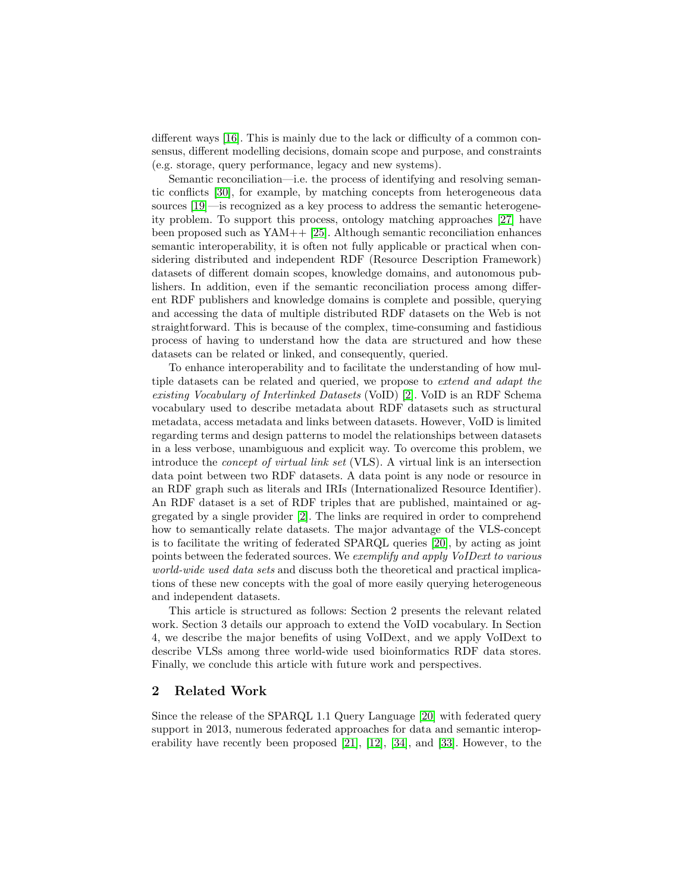different ways [\[16\]](#page-17-2). This is mainly due to the lack or difficulty of a common consensus, different modelling decisions, domain scope and purpose, and constraints (e.g. storage, query performance, legacy and new systems).

Semantic reconciliation—i.e. the process of identifying and resolving semantic conflicts [\[30\]](#page-17-3), for example, by matching concepts from heterogeneous data sources [\[19\]](#page-17-4)—is recognized as a key process to address the semantic heterogeneity problem. To support this process, ontology matching approaches [\[27\]](#page-17-5) have been proposed such as YAM++ [\[25\]](#page-17-6). Although semantic reconciliation enhances semantic interoperability, it is often not fully applicable or practical when considering distributed and independent RDF (Resource Description Framework) datasets of different domain scopes, knowledge domains, and autonomous publishers. In addition, even if the semantic reconciliation process among different RDF publishers and knowledge domains is complete and possible, querying and accessing the data of multiple distributed RDF datasets on the Web is not straightforward. This is because of the complex, time-consuming and fastidious process of having to understand how the data are structured and how these datasets can be related or linked, and consequently, queried.

To enhance interoperability and to facilitate the understanding of how multiple datasets can be related and queried, we propose to extend and adapt the existing Vocabulary of Interlinked Datasets (VoID) [\[2\]](#page-16-1). VoID is an RDF Schema vocabulary used to describe metadata about RDF datasets such as structural metadata, access metadata and links between datasets. However, VoID is limited regarding terms and design patterns to model the relationships between datasets in a less verbose, unambiguous and explicit way. To overcome this problem, we introduce the concept of virtual link set (VLS). A virtual link is an intersection data point between two RDF datasets. A data point is any node or resource in an RDF graph such as literals and IRIs (Internationalized Resource Identifier). An RDF dataset is a set of RDF triples that are published, maintained or aggregated by a single provider [\[2\]](#page-16-1). The links are required in order to comprehend how to semantically relate datasets. The major advantage of the VLS-concept is to facilitate the writing of federated SPARQL queries [\[20\]](#page-17-7), by acting as joint points between the federated sources. We exemplify and apply VoIDext to various world-wide used data sets and discuss both the theoretical and practical implications of these new concepts with the goal of more easily querying heterogeneous and independent datasets.

This article is structured as follows: Section 2 presents the relevant related work. Section 3 details our approach to extend the VoID vocabulary. In Section 4, we describe the major benefits of using VoIDext, and we apply VoIDext to describe VLSs among three world-wide used bioinformatics RDF data stores. Finally, we conclude this article with future work and perspectives.

# 2 Related Work

Since the release of the SPARQL 1.1 Query Language [\[20\]](#page-17-7) with federated query support in 2013, numerous federated approaches for data and semantic interoperability have recently been proposed [\[21\]](#page-17-8), [\[12\]](#page-16-2), [\[34\]](#page-17-9), and [\[33\]](#page-17-10). However, to the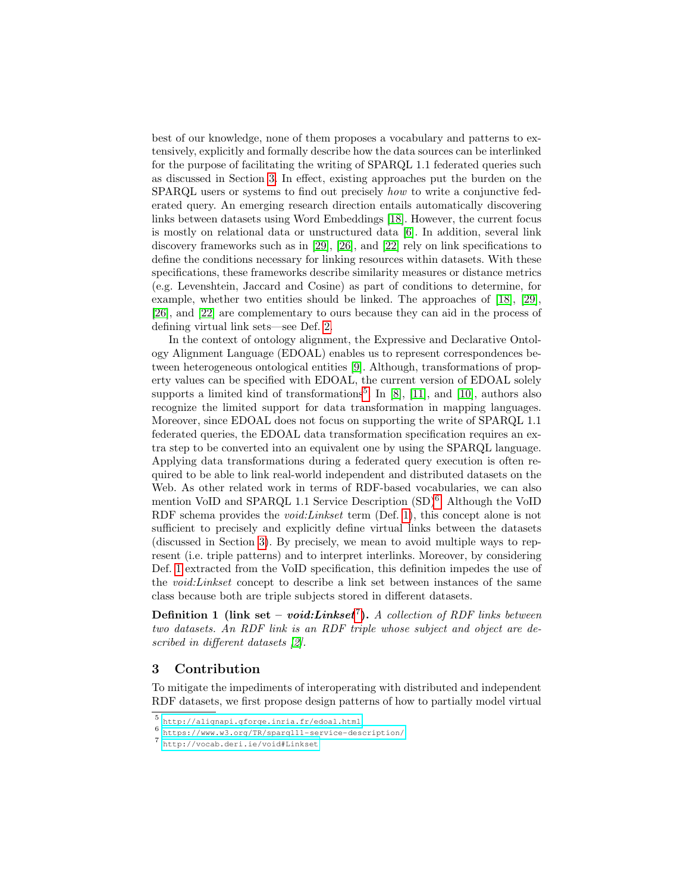best of our knowledge, none of them proposes a vocabulary and patterns to extensively, explicitly and formally describe how the data sources can be interlinked for the purpose of facilitating the writing of SPARQL 1.1 federated queries such as discussed in Section [3.](#page-2-0) In effect, existing approaches put the burden on the SPARQL users or systems to find out precisely how to write a conjunctive federated query. An emerging research direction entails automatically discovering links between datasets using Word Embeddings [\[18\]](#page-17-11). However, the current focus is mostly on relational data or unstructured data [\[6\]](#page-16-3). In addition, several link discovery frameworks such as in [\[29\]](#page-17-12), [\[26\]](#page-17-13), and [\[22\]](#page-17-14) rely on link specifications to define the conditions necessary for linking resources within datasets. With these specifications, these frameworks describe similarity measures or distance metrics (e.g. Levenshtein, Jaccard and Cosine) as part of conditions to determine, for example, whether two entities should be linked. The approaches of [\[18\]](#page-17-11), [\[29\]](#page-17-12), [\[26\]](#page-17-13), and [\[22\]](#page-17-14) are complementary to ours because they can aid in the process of defining virtual link sets—see Def. [2.](#page-3-0)

In the context of ontology alignment, the Expressive and Declarative Ontology Alignment Language (EDOAL) enables us to represent correspondences between heterogeneous ontological entities [\[9\]](#page-16-4). Although, transformations of property values can be specified with EDOAL, the current version of EDOAL solely supports a limited kind of transformations<sup>[5](#page-2-1)</sup>. In  $[8]$ ,  $[11]$ , and  $[10]$ , authors also recognize the limited support for data transformation in mapping languages. Moreover, since EDOAL does not focus on supporting the write of SPARQL 1.1 federated queries, the EDOAL data transformation specification requires an extra step to be converted into an equivalent one by using the SPARQL language. Applying data transformations during a federated query execution is often required to be able to link real-world independent and distributed datasets on the Web. As other related work in terms of RDF-based vocabularies, we can also mention VoID and SPARQL 1.1 Service Description (SD)<sup>[6](#page-2-2)</sup>. Although the VoID RDF schema provides the *void:Linkset* term (Def. [1\)](#page-2-3), this concept alone is not sufficient to precisely and explicitly define virtual links between the datasets (discussed in Section [3\)](#page-2-0). By precisely, we mean to avoid multiple ways to represent (i.e. triple patterns) and to interpret interlinks. Moreover, by considering Def. [1](#page-2-3) extracted from the VoID specification, this definition impedes the use of the void:Linkset concept to describe a link set between instances of the same class because both are triple subjects stored in different datasets.

<span id="page-2-3"></span>**Definition 1** (link set – void: Linkset<sup>[7](#page-2-4)</sup>). A collection of RDF links between two datasets. An RDF link is an RDF triple whose subject and object are described in different datasets [\[2\]](#page-16-1).

# <span id="page-2-0"></span>3 Contribution

To mitigate the impediments of interoperating with distributed and independent RDF datasets, we first propose design patterns of how to partially model virtual

<span id="page-2-1"></span><sup>5</sup> <http://alignapi.gforge.inria.fr/edoal.html>

<span id="page-2-2"></span><sup>6</sup> <https://www.w3.org/TR/sparql11-service-description/>

<span id="page-2-4"></span><sup>7</sup> <http://vocab.deri.ie/void#Linkset>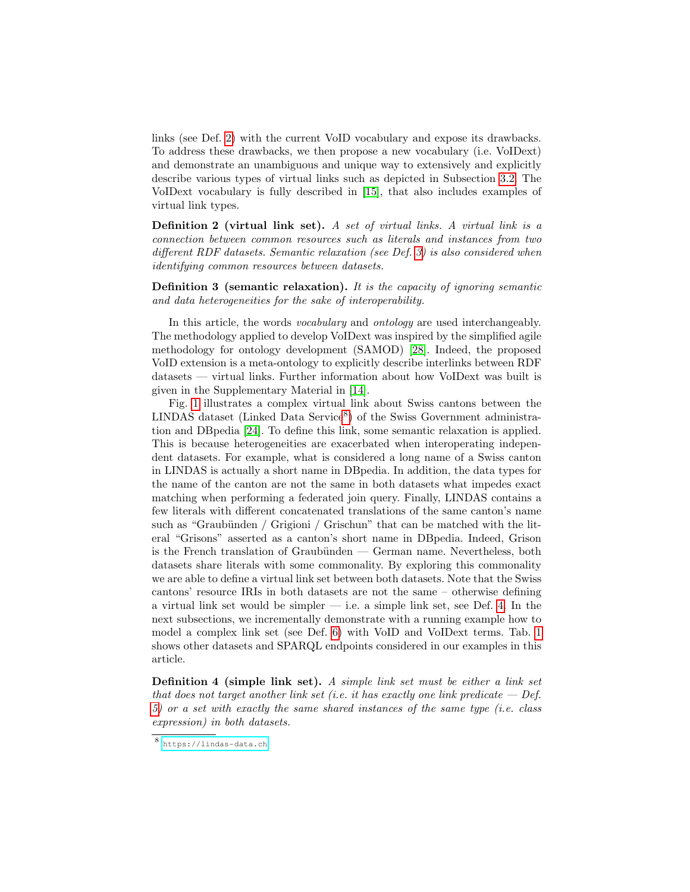links (see Def. [2\)](#page-3-0) with the current VoID vocabulary and expose its drawbacks. To address these drawbacks, we then propose a new vocabulary (i.e. VoIDext) and demonstrate an unambiguous and unique way to extensively and explicitly describe various types of virtual links such as depicted in Subsection [3.2.](#page-9-0) The VoIDext vocabulary is fully described in [\[15\]](#page-16-8), that also includes examples of virtual link types.

<span id="page-3-0"></span>**Definition 2** (virtual link set). A set of virtual links. A virtual link is a connection between common resources such as literals and instances from two different RDF datasets. Semantic relaxation (see Def. [3\)](#page-3-1) is also considered when identifying common resources between datasets.

<span id="page-3-1"></span>**Definition 3** (semantic relaxation). It is the capacity of ignoring semantic and data heterogeneities for the sake of interoperability.

In this article, the words vocabulary and ontology are used interchangeably. The methodology applied to develop VoIDext was inspired by the simplified agile methodology for ontology development (SAMOD) [\[28\]](#page-17-15). Indeed, the proposed VoID extension is a meta-ontology to explicitly describe interlinks between RDF datasets — virtual links. Further information about how VoIDext was built is given in the Supplementary Material in [\[14\]](#page-16-9).

Fig. [1](#page-4-0) illustrates a complex virtual link about Swiss cantons between the LINDAS dataset (Linked Data Service<sup>[8](#page-3-2)</sup>) of the Swiss Government administration and DBpedia [\[24\]](#page-17-16). To define this link, some semantic relaxation is applied. This is because heterogeneities are exacerbated when interoperating independent datasets. For example, what is considered a long name of a Swiss canton in LINDAS is actually a short name in DBpedia. In addition, the data types for the name of the canton are not the same in both datasets what impedes exact matching when performing a federated join query. Finally, LINDAS contains a few literals with different concatenated translations of the same canton's name such as "Graubünden / Grigioni / Grischun" that can be matched with the literal "Grisons" asserted as a canton's short name in DBpedia. Indeed, Grison is the French translation of Graubünden — German name. Nevertheless, both datasets share literals with some commonality. By exploring this commonality we are able to define a virtual link set between both datasets. Note that the Swiss cantons' resource IRIs in both datasets are not the same – otherwise defining a virtual link set would be simpler  $-$  i.e. a simple link set, see Def. [4.](#page-3-3) In the next subsections, we incrementally demonstrate with a running example how to model a complex link set (see Def. [6\)](#page-4-1) with VoID and VoIDext terms. Tab. [1](#page-4-2) shows other datasets and SPARQL endpoints considered in our examples in this article.

<span id="page-3-3"></span>Definition 4 (simple link set). A simple link set must be either a link set that does not target another link set (i.e. it has exactly one link predicate  $-$  Def. [5\)](#page-4-3) or a set with exactly the same shared instances of the same type (i.e. class expression) in both datasets.

<span id="page-3-2"></span><sup>8</sup> <https://lindas-data.ch>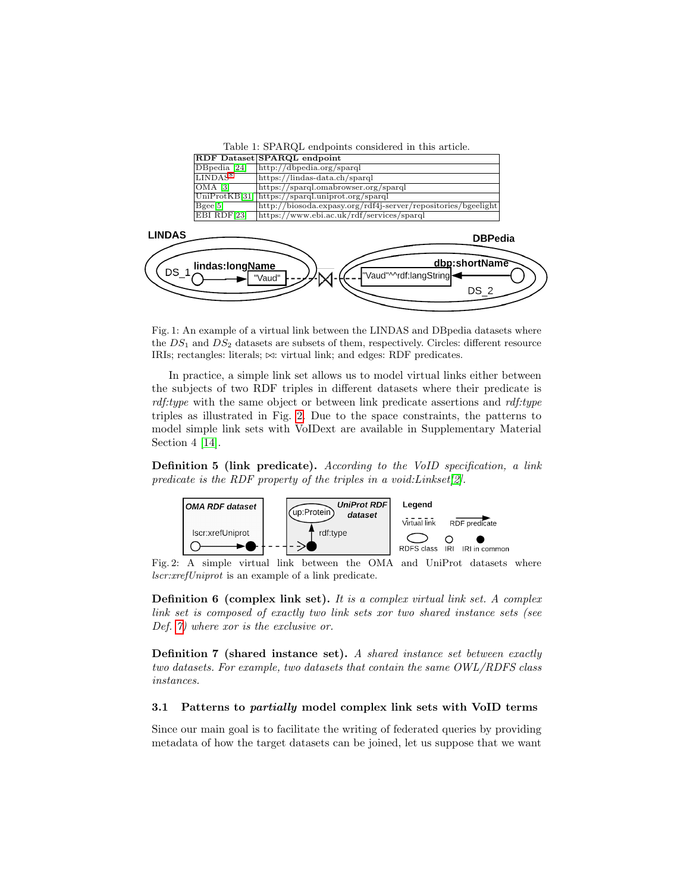Table 1: SPARQL endpoints considered in this article.

<span id="page-4-2"></span>

|               | <b>RDF</b> Dataset SPARQL endpoint                            |
|---------------|---------------------------------------------------------------|
| DBpedia [24]  | $\frac{h}{t}$ http://dbpedia.org/sparql                       |
| $LINDAS^8$    | https://lindas-data.ch/sparql                                 |
| $OMA$ [3]     | https://sparql.omabrowser.org/sparql                          |
|               | UniProtKB[31] https://sparql.uniprot.org/sparql               |
| $B$ gee $[5]$ | http://biosoda.expasy.org/rdf4j-server/repositories/bgeelight |
| EBI RDF[23]   | https://www.ebi.ac.uk/rdf/services/sparql                     |

<span id="page-4-0"></span>

Fig. 1: An example of a virtual link between the LINDAS and DBpedia datasets where the  $DS_1$  and  $DS_2$  datasets are subsets of them, respectively. Circles: different resource IRIs; rectangles: literals;  $\bowtie$ : virtual link; and edges: RDF predicates.

In practice, a simple link set allows us to model virtual links either between the subjects of two RDF triples in different datasets where their predicate is rdf:type with the same object or between link predicate assertions and rdf:type triples as illustrated in Fig. [2.](#page-4-4) Due to the space constraints, the patterns to model simple link sets with VoIDext are available in Supplementary Material Section 4 [\[14\]](#page-16-9).

<span id="page-4-3"></span>Definition 5 (link predicate). According to the VoID specification, a link predicate is the RDF property of the triples in a void:Linkset[\[2\]](#page-16-1).

<span id="page-4-4"></span>

Fig. 2: A simple virtual link between the OMA and UniProt datasets where lscr:xrefUniprot is an example of a link predicate.

<span id="page-4-1"></span>Definition 6 (complex link set). It is a complex virtual link set. A complex link set is composed of exactly two link sets xor two shared instance sets (see Def. [7\)](#page-4-5) where xor is the exclusive or.

<span id="page-4-5"></span>Definition 7 (shared instance set). A shared instance set between exactly two datasets. For example, two datasets that contain the same OWL/RDFS class instances.

#### 3.1 Patterns to partially model complex link sets with VoID terms

Since our main goal is to facilitate the writing of federated queries by providing metadata of how the target datasets can be joined, let us suppose that we want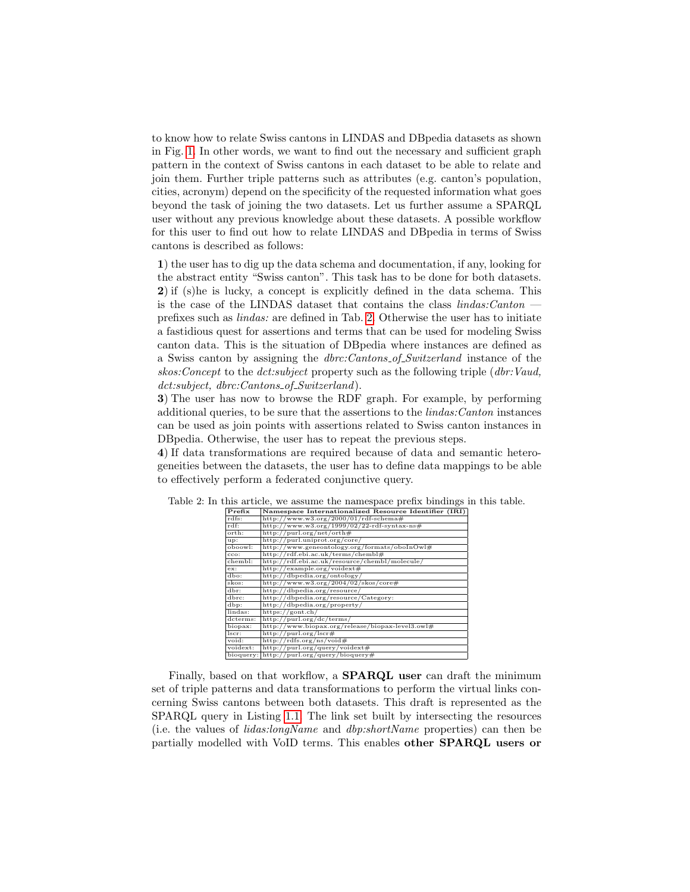to know how to relate Swiss cantons in LINDAS and DBpedia datasets as shown in Fig. [1.](#page-4-0) In other words, we want to find out the necessary and sufficient graph pattern in the context of Swiss cantons in each dataset to be able to relate and join them. Further triple patterns such as attributes (e.g. canton's population, cities, acronym) depend on the specificity of the requested information what goes beyond the task of joining the two datasets. Let us further assume a SPARQL user without any previous knowledge about these datasets. A possible workflow for this user to find out how to relate LINDAS and DBpedia in terms of Swiss cantons is described as follows:

1) the user has to dig up the data schema and documentation, if any, looking for the abstract entity "Swiss canton". This task has to be done for both datasets. 2) if (s)he is lucky, a concept is explicitly defined in the data schema. This is the case of the LINDAS dataset that contains the class  $\textit{lindas:} Canton$ prefixes such as lindas: are defined in Tab. [2.](#page-5-0) Otherwise the user has to initiate a fastidious quest for assertions and terms that can be used for modeling Swiss canton data. This is the situation of DBpedia where instances are defined as a Swiss canton by assigning the dbrc:Cantons of Switzerland instance of the skos: Concept to the dct:subject property such as the following triple (dbr:Vaud, dct:subject, dbrc:Cantons\_of\_Switzerland).

3) The user has now to browse the RDF graph. For example, by performing additional queries, to be sure that the assertions to the lindas:Canton instances can be used as join points with assertions related to Swiss canton instances in DBpedia. Otherwise, the user has to repeat the previous steps.

4) If data transformations are required because of data and semantic heterogeneities between the datasets, the user has to define data mappings to be able to effectively perform a federated conjunctive query.

| Prefix                     | Namespace Internationalized Resource Identifier (IRI) |
|----------------------------|-------------------------------------------------------|
| rdfs:                      | http://www.w3.org/2000/01/rdf-schema#                 |
| $\overline{\text{rdf}}$ :  | http://www.w3.org/1999/02/22-rdf-syntax-ns#           |
| orth:                      | http://purL.org/net/orth#)                            |
| up:                        | http://purl.uniprot.org/core/                         |
| oboowl:                    | http://www.geneontology.org/formats/oboInOwl#         |
| $_{\rm cco:}$              | http://rdf.ebi.ac.uk/terms/chembl#                    |
| chembl:                    | http://rdf.ebi.ac.uk/resource/chembl/molecule/        |
| ex:                        | http://example.org/voidext#                           |
| dbo:                       | http://dbpedia.org/ontology/                          |
| skos:                      | http://www.w3.org/2004/02/skos/core#                  |
| dbr:                       | http://dbpedia.org/resource/                          |
| dbrc:                      | http://dbpedia.org/resource/Category:                 |
| $d_{\text{bp}}$            | http://dbpedia.org/property/                          |
| lindas:                    | $\frac{https://gont.ch/}{h}$                          |
| dcterms:                   | http://purL.org/dc/terms/                             |
| biopax:                    | http://www.biopax.org/release/biopax-level3.owl#      |
| $\overline{\text{lscr}}$ : | http://purl.org/lscr#                                 |
| void:                      | http://rdfs.org/ns/void#                              |
| voidext:                   | http://purl.org/query/voidext#                        |
|                            | bioquery: http://purl.org/query/bioquery#             |
|                            |                                                       |

<span id="page-5-0"></span>Table 2: In this article, we assume the namespace prefix bindings in this table.

Finally, based on that workflow, a SPARQL user can draft the minimum set of triple patterns and data transformations to perform the virtual links concerning Swiss cantons between both datasets. This draft is represented as the SPARQL query in Listing [1.1.](#page-6-0) The link set built by intersecting the resources (i.e. the values of lidas:longName and dbp:shortName properties) can then be partially modelled with VoID terms. This enables other SPARQL users or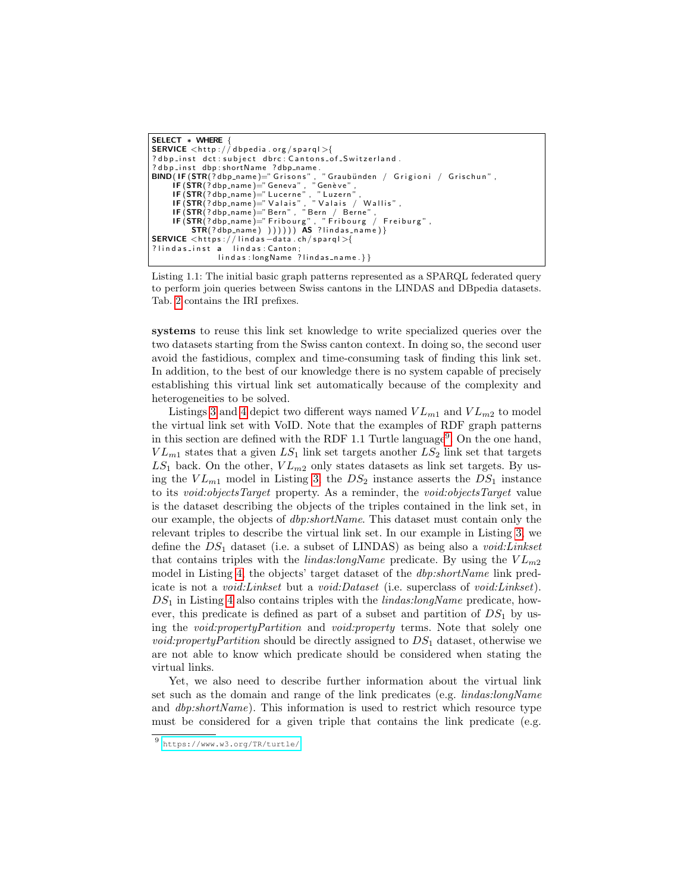```
SELECT * WHERE {<br>SERVICE <http://
SERVICE \langlehttp://dbpedia.org/sparql\geq{<br>?dbp_inst dct:subject dbrc:Cantons_of_Switzerland.
?dbp_inst dct:subject dbrc:Cantons_of_Switzerland.<br>?dbp_inst dbp:shortName ?dbp_name.<br>BIND(IF(STR(?dbp_name)="Grisons", "Graubünden / Grigioni / Grischun",<br>IF(STR(?dbp_name)="Geneva", "Genève",
         IF(STR(?dbp_name)=" Lucerne" , " Luzern" ,<br>IF(STR(?dbp_name)=" Valais" , " Valais  /  Wallis" ,
         IF(STR(?dbp_name)="Bern", "Bern / Berne",<br>IF(STR(?dbp_name)="Fribourg", "Fribourg / Freiburg",<br>STR(?dbp_name) )))))) AS ?lindas_name)}
SERVICE <https://lindas-data.ch/sparql>{
? lindas _inst a lindas : Canton
                          lindas: longName ? lindas_name. } }
```


systems to reuse this link set knowledge to write specialized queries over the two datasets starting from the Swiss canton context. In doing so, the second user avoid the fastidious, complex and time-consuming task of finding this link set. In addition, to the best of our knowledge there is no system capable of precisely establishing this virtual link set automatically because of the complexity and heterogeneities to be solved.

Listings [3](#page-7-0) and [4](#page-7-1) depict two different ways named  $VL_{m1}$  and  $VL_{m2}$  to model the virtual link set with VoID. Note that the examples of RDF graph patterns in this section are defined with the RDF 1.1 Turtle language<sup>[9](#page-6-1)</sup>. On the one hand,  $VL_{m1}$  states that a given  $LS_1$  link set targets another  $LS_2$  link set that targets  $LS_1$  back. On the other,  $VL_{m2}$  only states datasets as link set targets. By using the  $VL_{m1}$  model in Listing [3,](#page-7-0) the  $DS_2$  instance asserts the  $DS_1$  instance to its *void:objectsTarget* property. As a reminder, the *void:objectsTarget* value is the dataset describing the objects of the triples contained in the link set, in our example, the objects of *dbp:shortName*. This dataset must contain only the relevant triples to describe the virtual link set. In our example in Listing [3,](#page-7-0) we define the  $DS_1$  dataset (i.e. a subset of LINDAS) as being also a *void:Linkset* that contains triples with the *lindas:longName* predicate. By using the  $VL_{m2}$ model in Listing [4,](#page-7-1) the objects' target dataset of the *dbp:shortName* link predicate is not a void:Linkset but a void:Dataset (i.e. superclass of void:Linkset).  $DS<sub>1</sub>$  in Listing [4](#page-7-1) also contains triples with the *lindas:longName* predicate, however, this predicate is defined as part of a subset and partition of  $DS_1$  by using the *void:propertyPartition* and *void:property* terms. Note that solely one *void: propertyPartition* should be directly assigned to  $DS_1$  dataset, otherwise we are not able to know which predicate should be considered when stating the virtual links.

Yet, we also need to describe further information about the virtual link set such as the domain and range of the link predicates (e.g. lindas:longName and *dbp:shortName*). This information is used to restrict which resource type must be considered for a given triple that contains the link predicate (e.g.

<span id="page-6-1"></span><sup>9</sup> <https://www.w3.org/TR/turtle/>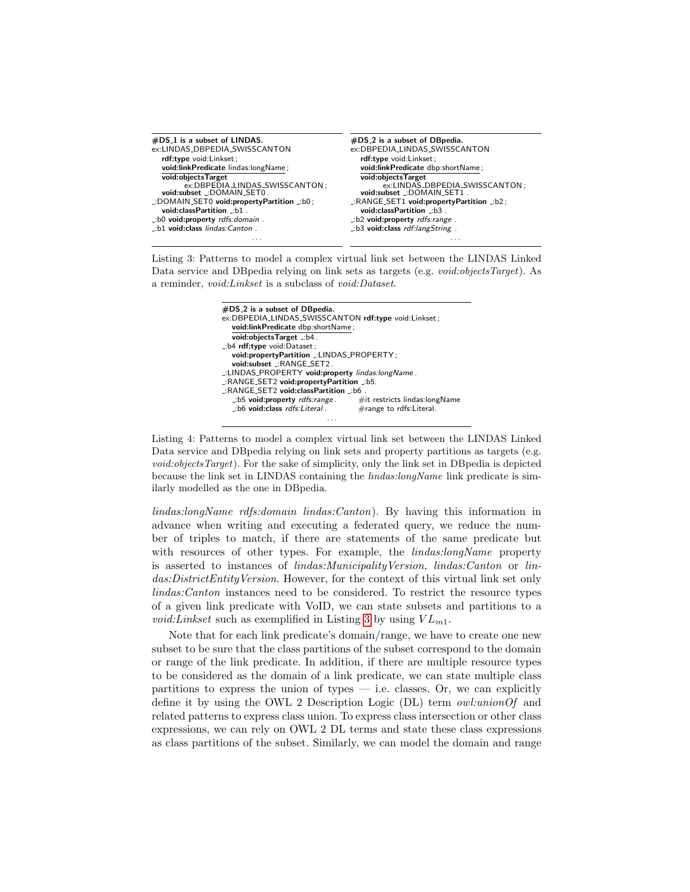<span id="page-7-0"></span>

| $#DS_1$ is a subset of LINDAS.<br>ex:LINDAS_DBPEDIA_SWISSCANTON                                                                                                                                                                                              | $#DS_2$ is a subset of DB pedia.<br>ex:DBPEDIA_LINDAS_SWISSCANTON                                                                                                                                                                        |
|--------------------------------------------------------------------------------------------------------------------------------------------------------------------------------------------------------------------------------------------------------------|------------------------------------------------------------------------------------------------------------------------------------------------------------------------------------------------------------------------------------------|
| rdf:type void:Linkset;                                                                                                                                                                                                                                       | rdf:type void:Linkset;                                                                                                                                                                                                                   |
| void:linkPredicate lindas:longName;                                                                                                                                                                                                                          | void:linkPredicate dbp:shortName;                                                                                                                                                                                                        |
| void:objectsTarget<br>ex:DBPEDIA_LINDAS_SWISSCANTON;<br>void:subset _:DOMAIN_SET0.<br>$\therefore$ DOMAIN_SET0 void:propertyPartition $\therefore$ b0;<br>void:classPartition :b1 .<br>.: b0 void:property rdfs:domain.<br>.: b1 void: class lindas: Canton. | void:objectsTarget<br>ex:LINDAS_DBPEDIA_SWISSCANTON:<br>void:subset _:DOMAIN_SET1.<br>.: RANGE_SET1 void:propertyPartition _: b2;<br>void:classPartition :b3.<br>.: b2 void: property rdfs: range.<br>.: b3 void: class rdf: langString. |
| .                                                                                                                                                                                                                                                            | .                                                                                                                                                                                                                                        |

<span id="page-7-1"></span>Listing 3: Patterns to model a complex virtual link set between the LINDAS Linked Data service and DBpedia relying on link sets as targets (e.g. void:objectsTarget). As a reminder, void:Linkset is a subclass of void:Dataset.



Listing 4: Patterns to model a complex virtual link set between the LINDAS Linked Data service and DBpedia relying on link sets and property partitions as targets (e.g. void:objectsTarget). For the sake of simplicity, only the link set in DBpedia is depicted because the link set in LINDAS containing the lindas:longName link predicate is similarly modelled as the one in DBpedia.

lindas:longName rdfs:domain lindas:Canton). By having this information in advance when writing and executing a federated query, we reduce the number of triples to match, if there are statements of the same predicate but with resources of other types. For example, the *lindas:longName* property is asserted to instances of *lindas:MunicipalityVersion*, *lindas:Canton* or *lin*das: DistrictEntityVersion. However, for the context of this virtual link set only lindas:Canton instances need to be considered. To restrict the resource types of a given link predicate with VoID, we can state subsets and partitions to a *void:Linkset* such as exemplified in Listing [3](#page-7-0) by using  $VL_{m1}$ .

Note that for each link predicate's domain/range, we have to create one new subset to be sure that the class partitions of the subset correspond to the domain or range of the link predicate. In addition, if there are multiple resource types to be considered as the domain of a link predicate, we can state multiple class partitions to express the union of types  $-$  i.e. classes. Or, we can explicitly define it by using the OWL 2 Description Logic (DL) term  $\textit{owl:unionOf}$  and related patterns to express class union. To express class intersection or other class expressions, we can rely on OWL 2 DL terms and state these class expressions as class partitions of the subset. Similarly, we can model the domain and range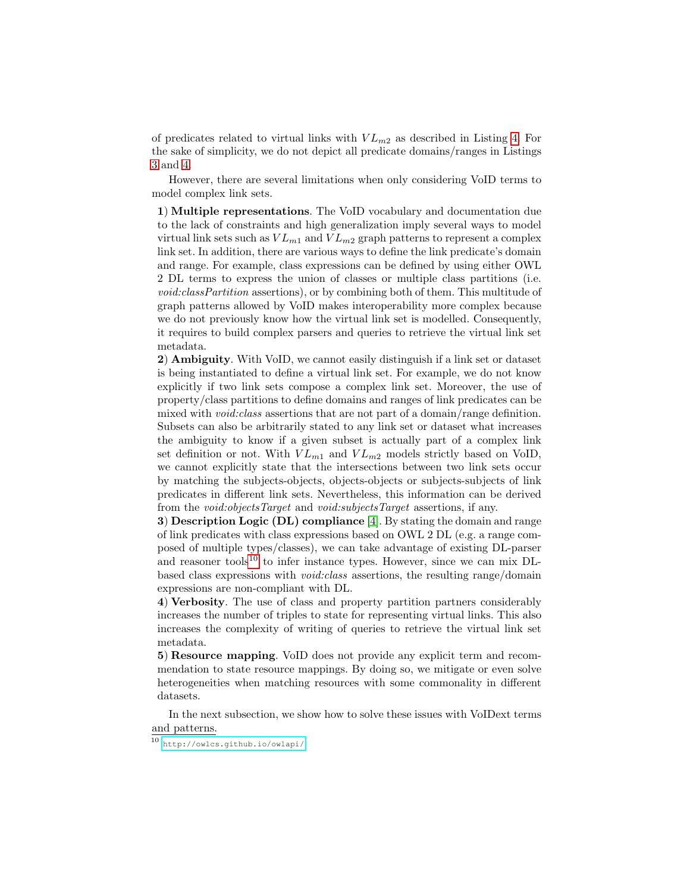of predicates related to virtual links with  $VL_{m2}$  as described in Listing [4.](#page-7-1) For the sake of simplicity, we do not depict all predicate domains/ranges in Listings [3](#page-7-0) and [4.](#page-7-1)

However, there are several limitations when only considering VoID terms to model complex link sets.

1) Multiple representations. The VoID vocabulary and documentation due to the lack of constraints and high generalization imply several ways to model virtual link sets such as  $VL_{m1}$  and  $VL_{m2}$  graph patterns to represent a complex link set. In addition, there are various ways to define the link predicate's domain and range. For example, class expressions can be defined by using either OWL 2 DL terms to express the union of classes or multiple class partitions (i.e. void:classPartition assertions), or by combining both of them. This multitude of graph patterns allowed by VoID makes interoperability more complex because we do not previously know how the virtual link set is modelled. Consequently, it requires to build complex parsers and queries to retrieve the virtual link set metadata.

2) Ambiguity. With VoID, we cannot easily distinguish if a link set or dataset is being instantiated to define a virtual link set. For example, we do not know explicitly if two link sets compose a complex link set. Moreover, the use of property/class partitions to define domains and ranges of link predicates can be mixed with *void:class* assertions that are not part of a domain/range definition. Subsets can also be arbitrarily stated to any link set or dataset what increases the ambiguity to know if a given subset is actually part of a complex link set definition or not. With  $VL_{m1}$  and  $VL_{m2}$  models strictly based on VoID, we cannot explicitly state that the intersections between two link sets occur by matching the subjects-objects, objects-objects or subjects-subjects of link predicates in different link sets. Nevertheless, this information can be derived from the *void:objectsTarget* and *void:subjectsTarget* assertions, if any.

3) Description Logic (DL) compliance [\[4\]](#page-16-12). By stating the domain and range of link predicates with class expressions based on OWL 2 DL (e.g. a range composed of multiple types/classes), we can take advantage of existing DL-parser and reasoner tools<sup>[10](#page-8-0)</sup> to infer instance types. However, since we can mix  $DL$ based class expressions with void:class assertions, the resulting range/domain expressions are non-compliant with DL.

4) Verbosity. The use of class and property partition partners considerably increases the number of triples to state for representing virtual links. This also increases the complexity of writing of queries to retrieve the virtual link set metadata.

5) Resource mapping. VoID does not provide any explicit term and recommendation to state resource mappings. By doing so, we mitigate or even solve heterogeneities when matching resources with some commonality in different datasets.

In the next subsection, we show how to solve these issues with VoIDext terms and patterns.

<span id="page-8-0"></span> $\overline{10}$  <http://owlcs.github.io/owlapi/>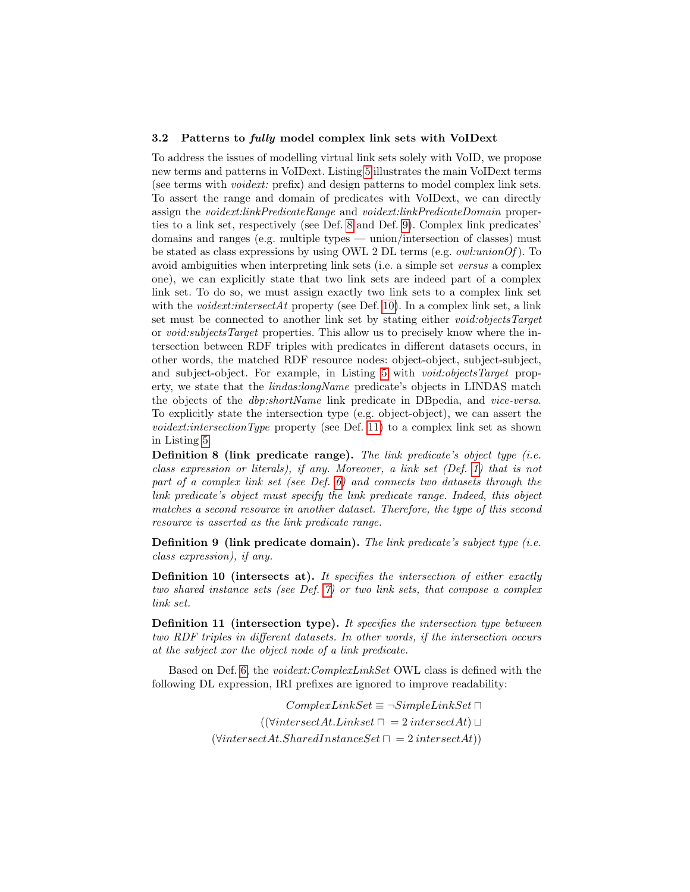#### <span id="page-9-0"></span>3.2 Patterns to fully model complex link sets with VoIDext

To address the issues of modelling virtual link sets solely with VoID, we propose new terms and patterns in VoIDext. Listing [5](#page-10-0) illustrates the main VoIDext terms (see terms with voidext: prefix) and design patterns to model complex link sets. To assert the range and domain of predicates with VoIDext, we can directly assign the voidext:linkPredicateRange and voidext:linkPredicateDomain properties to a link set, respectively (see Def. [8](#page-9-1) and Def. [9\)](#page-9-2). Complex link predicates' domains and ranges (e.g. multiple types — union/intersection of classes) must be stated as class expressions by using OWL 2 DL terms (e.g. *owl:unionOf*). To avoid ambiguities when interpreting link sets (i.e. a simple set versus a complex one), we can explicitly state that two link sets are indeed part of a complex link set. To do so, we must assign exactly two link sets to a complex link set with the *voidext:intersectAt* property (see Def. [10\)](#page-9-3). In a complex link set, a link set must be connected to another link set by stating either *void:objectsTarget* or void:subjectsTarget properties. This allow us to precisely know where the intersection between RDF triples with predicates in different datasets occurs, in other words, the matched RDF resource nodes: object-object, subject-subject, and subject-object. For example, in Listing [5](#page-10-0) with *void:objectsTarget* property, we state that the lindas:longName predicate's objects in LINDAS match the objects of the dbp:shortName link predicate in DBpedia, and vice-versa. To explicitly state the intersection type (e.g. object-object), we can assert the voidext:intersectionType property (see Def. [11\)](#page-9-4) to a complex link set as shown in Listing [5.](#page-10-0)

<span id="page-9-1"></span>**Definition 8 (link predicate range).** The link predicate's object type (i.e. class expression or literals), if any. Moreover, a link set (Def. [1\)](#page-2-3) that is not part of a complex link set (see Def. [6\)](#page-4-1) and connects two datasets through the link predicate's object must specify the link predicate range. Indeed, this object matches a second resource in another dataset. Therefore, the type of this second resource is asserted as the link predicate range.

<span id="page-9-2"></span>Definition 9 (link predicate domain). The link predicate's subject type (i.e. class expression), if any.

<span id="page-9-3"></span>Definition 10 (intersects at). It specifies the intersection of either exactly two shared instance sets (see Def. [7\)](#page-4-5) or two link sets, that compose a complex link set.

<span id="page-9-4"></span>Definition 11 (intersection type). It specifies the intersection type between two RDF triples in different datasets. In other words, if the intersection occurs at the subject xor the object node of a link predicate.

Based on Def. [6,](#page-4-1) the voidext:ComplexLinkSet OWL class is defined with the following DL expression, IRI prefixes are ignored to improve readability:

> $ComplexLinkSet \equiv \neg SimpleLinkSet \sqcap$  $((\forall intersectAt.Links et \sqcap = 2 interestAt) \sqcup$  $(\forall interestAt. SharedInstanceSet \sqcap = 2\; intersectAt))$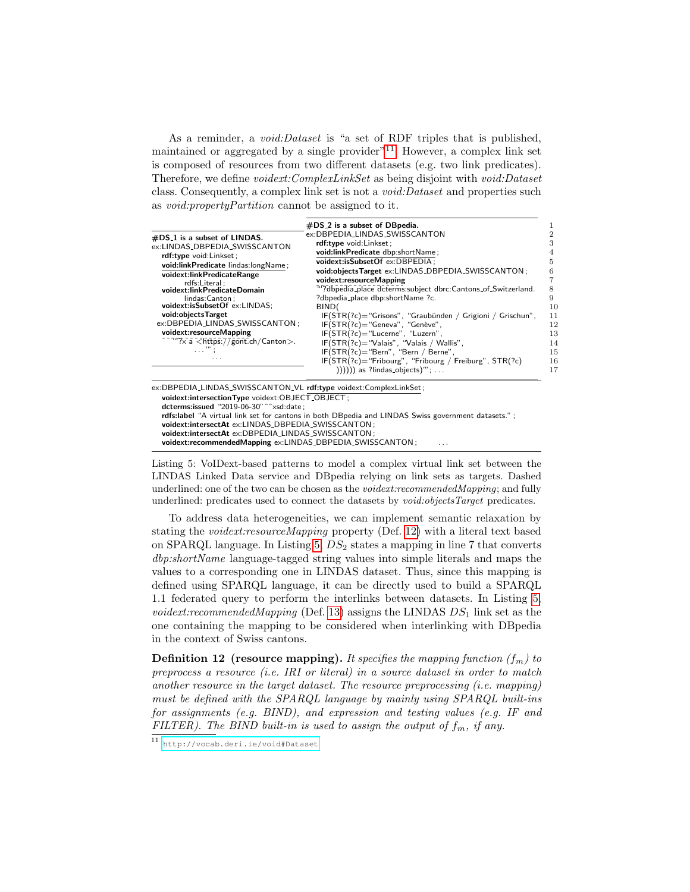As a reminder, a *void:Dataset* is "a set of RDF triples that is published, maintained or aggregated by a single provider"[11](#page-10-1). However, a complex link set is composed of resources from two different datasets (e.g. two link predicates). Therefore, we define voidext:ComplexLinkSet as being disjoint with void:Dataset class. Consequently, a complex link set is not a void:Dataset and properties such as void:propertyPartition cannot be assigned to it.

<span id="page-10-0"></span>

|                                                                                                                      | $#DS_2$ is a subset of DB pedia.                              |    |
|----------------------------------------------------------------------------------------------------------------------|---------------------------------------------------------------|----|
| $\#DS_1$ is a subset of LINDAS.                                                                                      | ex:DBPEDIA_LINDAS_SWISSCANTON                                 |    |
| ex:LINDAS_DBPEDIA_SWISSCANTON                                                                                        | rdf:type void:Linkset;                                        |    |
| rdf:type void:Linkset;                                                                                               | void:linkPredicate dbp:shortName;                             |    |
| void:linkPredicate lindas:longName;                                                                                  | voidext:isSubsetOf ex:DBPEDIA;                                | 5  |
| voidext:linkPredicateRange                                                                                           | void:objectsTarget ex:LINDAS_DBPEDIA_SWISSCANTON;             | 6  |
| rdfs:Literal:                                                                                                        | voidext:resourceMapping                                       |    |
| voidext:linkPredicateDomain                                                                                          | "?dbpedia_place dcterms:subject dbrc:Cantons_of_Switzerland.  | 8  |
| lindas:Canton ;                                                                                                      | ?dbpedia_place dbp:shortName ?c.                              | 9  |
| voidext:isSubsetOf ex:LINDAS;                                                                                        | BIND <sub>(</sub>                                             | 10 |
| void:objectsTarget                                                                                                   | $IF(STR(?c) = "Grisons", "Graubünden / Grigioni / Grischun",$ | 11 |
| ex:DBPEDIA_LINDAS_SWISSCANTON;                                                                                       | $IF(STR(?c) = "Geneva", "Genève",$                            | 12 |
| voidext:resourceMapping                                                                                              | $IF(STR(?c) = "Lucerne", "Luzern",$                           | 13 |
| " $?x$ a $\lt$ https://gont.ch/Canton>.                                                                              | $IF(STR(?c) = "Valais", "Valais / Wallis",$                   | 14 |
|                                                                                                                      | $IF(STR(?c) = "Bern", "Bern / Bern",$                         | 15 |
|                                                                                                                      | $IF(STR(?c) = "Fribourg", "Fribourg / Freiburg", STR(?c)$     | 16 |
|                                                                                                                      | $)))))$ as ?lindas_objects)";                                 | 17 |
| ex:DBPEDIA_LINDAS_SWISSCANTON_VL rdf:type voidext:ComplexLinkSet;<br>voidext:intersectionType voidext:OBJECT_OBJECT; |                                                               |    |

dcterms:issued "2019-06-30"ˆˆxsd:date ; rdfs:label "A virtual link set for cantons in both DBpedia and LINDAS Swiss government datasets." ; voidext:intersectAt ex:LINDAS\_DBPEDIA\_SWISSCANTON; voidext:intersectAt ex:DBPEDIA\_LINDAS\_SWISSCANTON voidext:recommendedMapping ex:LINDAS\_DBPEDIA\_SWISSCANTON ;

Listing 5: VoIDext-based patterns to model a complex virtual link set between the LINDAS Linked Data service and DBpedia relying on link sets as targets. Dashed underlined: one of the two can be chosen as the *voidext:recommendedMapping*; and fully underlined: predicates used to connect the datasets by *void:objectsTarget* predicates.

To address data heterogeneities, we can implement semantic relaxation by stating the voidext:resourceMapping property (Def. [12\)](#page-10-2) with a literal text based on SPARQL language. In Listing  $5$ ,  $DS_2$  states a mapping in line 7 that converts dbp:shortName language-tagged string values into simple literals and maps the values to a corresponding one in LINDAS dataset. Thus, since this mapping is defined using SPARQL language, it can be directly used to build a SPARQL 1.1 federated query to perform the interlinks between datasets. In Listing [5,](#page-10-0) voidext:recommendedMapping (Def. [13\)](#page-10-3) assigns the LINDAS  $DS_1$  link set as the one containing the mapping to be considered when interlinking with DBpedia in the context of Swiss cantons.

<span id="page-10-2"></span>**Definition 12** (resource mapping). It specifies the mapping function  $(f_m)$  to preprocess a resource (i.e. IRI or literal) in a source dataset in order to match another resource in the target dataset. The resource preprocessing (i.e. mapping) must be defined with the SPARQL language by mainly using SPARQL built-ins for assignments (e.g. BIND), and expression and testing values (e.g. IF and FILTER). The BIND built-in is used to assign the output of  $f_m$ , if any.

<span id="page-10-3"></span><span id="page-10-1"></span><sup>11</sup> <http://vocab.deri.ie/void#Dataset>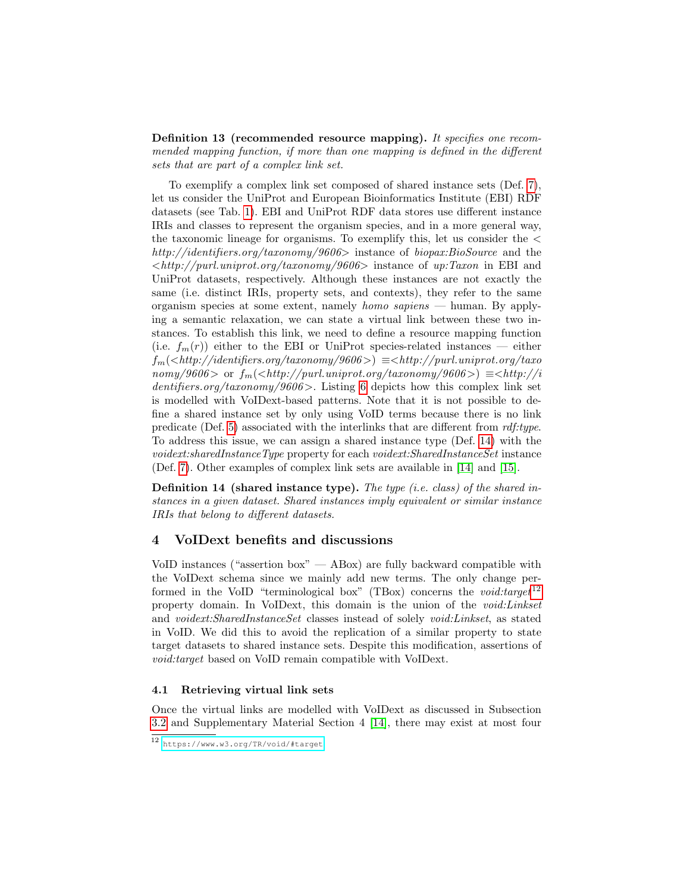Definition 13 (recommended resource mapping). It specifies one recommended mapping function, if more than one mapping is defined in the different sets that are part of a complex link set.

To exemplify a complex link set composed of shared instance sets (Def. [7\)](#page-4-5), let us consider the UniProt and European Bioinformatics Institute (EBI) RDF datasets (see Tab. [1\)](#page-4-2). EBI and UniProt RDF data stores use different instance IRIs and classes to represent the organism species, and in a more general way, the taxonomic lineage for organisms. To exemplify this, let us consider the < http://identifiers.org/taxonomy/9606> instance of biopax:BioSource and the  $\langle \text{http://purl.uniprot.org/taxonomy/9606>}$  instance of up:Taxon in EBI and UniProt datasets, respectively. Although these instances are not exactly the same (i.e. distinct IRIs, property sets, and contexts), they refer to the same organism species at some extent, namely homo sapiens — human. By applying a semantic relaxation, we can state a virtual link between these two instances. To establish this link, we need to define a resource mapping function (i.e.  $f_m(r)$ ) either to the EBI or UniProt species-related instances — either  $f_m() \equiv$ nomy/9606> or  $f_m(<$ http://purl.uniprot.org/taxonomy/9606>)  $\equiv$  < http://i dentifiers.org/taxonomy/9606>. Listing [6](#page-12-0) depicts how this complex link set is modelled with VoIDext-based patterns. Note that it is not possible to define a shared instance set by only using VoID terms because there is no link predicate (Def. [5\)](#page-4-3) associated with the interlinks that are different from  $\eta f(t)$ : To address this issue, we can assign a shared instance type (Def. [14\)](#page-11-0) with the voidext:sharedInstanceType property for each voidext:SharedInstanceSet instance (Def. [7\)](#page-4-5). Other examples of complex link sets are available in [\[14\]](#page-16-9) and [\[15\]](#page-16-8).

<span id="page-11-0"></span>Definition 14 (shared instance type). The type (i.e. class) of the shared instances in a given dataset. Shared instances imply equivalent or similar instance IRIs that belong to different datasets.

# 4 VoIDext benefits and discussions

VoID instances ("assertion box"  $-$  ABox) are fully backward compatible with the VoIDext schema since we mainly add new terms. The only change performed in the VoID "terminological box" (TBox) concerns the *void:target*<sup>[12](#page-11-1)</sup> property domain. In VoIDext, this domain is the union of the void:Linkset and *voidext:SharedInstanceSet* classes instead of solely *void:Linkset*, as stated in VoID. We did this to avoid the replication of a similar property to state target datasets to shared instance sets. Despite this modification, assertions of void:target based on VoID remain compatible with VoIDext.

### <span id="page-11-2"></span>4.1 Retrieving virtual link sets

Once the virtual links are modelled with VoIDext as discussed in Subsection [3.2](#page-9-0) and Supplementary Material Section 4 [\[14\]](#page-16-9), there may exist at most four

<span id="page-11-1"></span><sup>12</sup> <https://www.w3.org/TR/void/#target>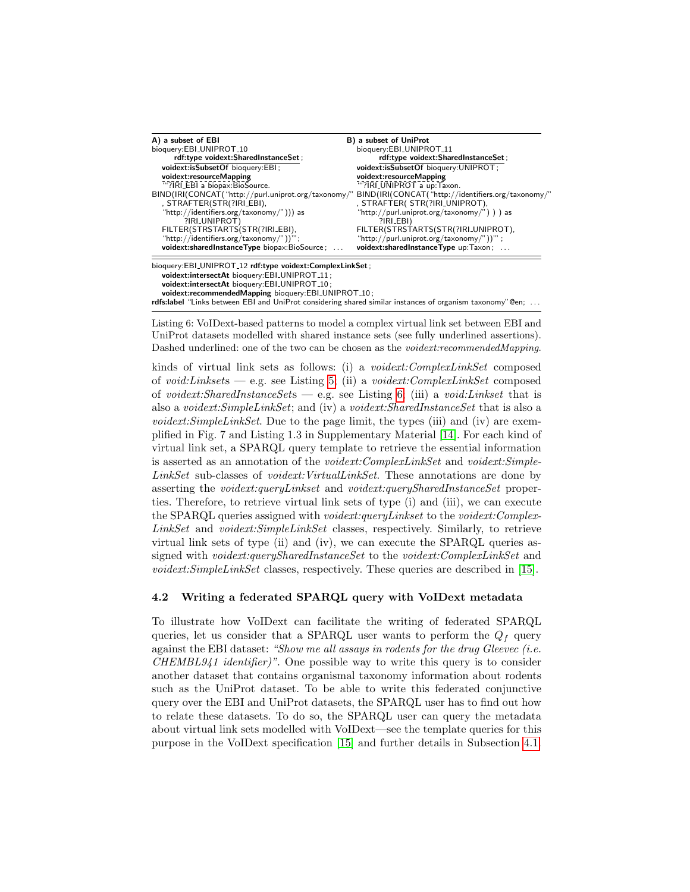<span id="page-12-0"></span>

| A) a subset of EBI                                       | B) a subset of UniProt                             |
|----------------------------------------------------------|----------------------------------------------------|
| bioquery:EBI_UNIPROT_10                                  | bioquery:EBI_UNIPROT_11                            |
| rdf:type voidext:SharedInstanceSet;                      | rdf:type voidext:SharedInstanceSet ;               |
| voidext:isSubsetOf bioquery:EBI;                         | voidext:isSubsetOf bioquery:UNIPROT;               |
| voidext:resourceMapping                                  | voidext:resourceMapping                            |
| "'?IRLEBI a biopax:BioSource.                            | "'?IRI_UNIPROT a up:Taxon.                         |
| BIND(IRI(CONCAT("http://purl.uniprot.org/taxonomy/"      | BIND(IRI(CONCAT("http://identifiers.org/taxonomy/" |
| , STRAFTER(STR(?IRI_EBI),                                | , STRAFTER( STR(?IRI_UNIPROT),                     |
| "http://identifiers.org/taxonomy/"))) as                 | "http://purl.uniprot.org/taxonomy/") $)$ as        |
| ?IRI_UNIPROT)                                            | ?IRLEBI)                                           |
| FILTER(STRSTARTS(STR(?IRI_EBI),                          | FILTER(STRSTARTS(STR(?IRI_UNIPROT),                |
| "http://identifiers.org/taxonomy/"))"";                  | "http://purl.uniprot.org/taxonomy/"))"';           |
| voidext:sharedInstanceType biopax:BioSource;             | voidext:sharedInstanceType up:Taxon;               |
| bioquery:EBI_UNIPROT_12 rdf:type voidext:ComplexLinkSet; |                                                    |
| voidext:intersectAt bioquery:EBI_UNIPROT_11;             |                                                    |
| voidext:intersectAt bioquery:EBI_UNIPROT_10;             |                                                    |
| voidext:recommendedMapping bioquery:EBI_UNIPROT_10;      |                                                    |

rdfs:label "Links between EBI and UniProt considering shared similar instances of organism taxonomy"@en; . . .

Listing 6: VoIDext-based patterns to model a complex virtual link set between EBI and UniProt datasets modelled with shared instance sets (see fully underlined assertions). Dashed underlined: one of the two can be chosen as the *voidext:recommendedMapping*.

kinds of virtual link sets as follows: (i) a voidext:ComplexLinkSet composed of void: Linksets — e.g. see Listing [5;](#page-10-0) (ii) a voidext: Complex LinkSet composed of voidext:SharedInstanceSets — e.g. see Listing [6;](#page-12-0) (iii) a void:Linkset that is also a voidext:SimpleLinkSet; and (iv) a voidext:SharedInstanceSet that is also a *voidext:SimpleLinkSet.* Due to the page limit, the types (iii) and (iv) are exemplified in Fig. 7 and Listing 1.3 in Supplementary Material [\[14\]](#page-16-9). For each kind of virtual link set, a SPARQL query template to retrieve the essential information is asserted as an annotation of the voidext:ComplexLinkSet and voidext:Simple-LinkSet sub-classes of *voidext:VirtualLinkSet*. These annotations are done by asserting the voidext:queryLinkset and voidext:querySharedInstanceSet properties. Therefore, to retrieve virtual link sets of type (i) and (iii), we can execute the SPARQL queries assigned with *voidext:queryLinkset* to the *voidext:Complex*-LinkSet and voidext:SimpleLinkSet classes, respectively. Similarly, to retrieve virtual link sets of type (ii) and (iv), we can execute the SPARQL queries assigned with *voidext:querySharedInstanceSet* to the *voidext:ComplexLinkSet* and voidext:SimpleLinkSet classes, respectively. These queries are described in [\[15\]](#page-16-8).

### 4.2 Writing a federated SPARQL query with VoIDext metadata

To illustrate how VoIDext can facilitate the writing of federated SPARQL queries, let us consider that a SPARQL user wants to perform the  $Q_f$  query against the EBI dataset: "Show me all assays in rodents for the drug Gleevec (i.e.  $CHEMBL941$  identifier)". One possible way to write this query is to consider another dataset that contains organismal taxonomy information about rodents such as the UniProt dataset. To be able to write this federated conjunctive query over the EBI and UniProt datasets, the SPARQL user has to find out how to relate these datasets. To do so, the SPARQL user can query the metadata about virtual link sets modelled with VoIDext—see the template queries for this purpose in the VoIDext specification [\[15\]](#page-16-8) and further details in Subsection [4.1.](#page-11-2)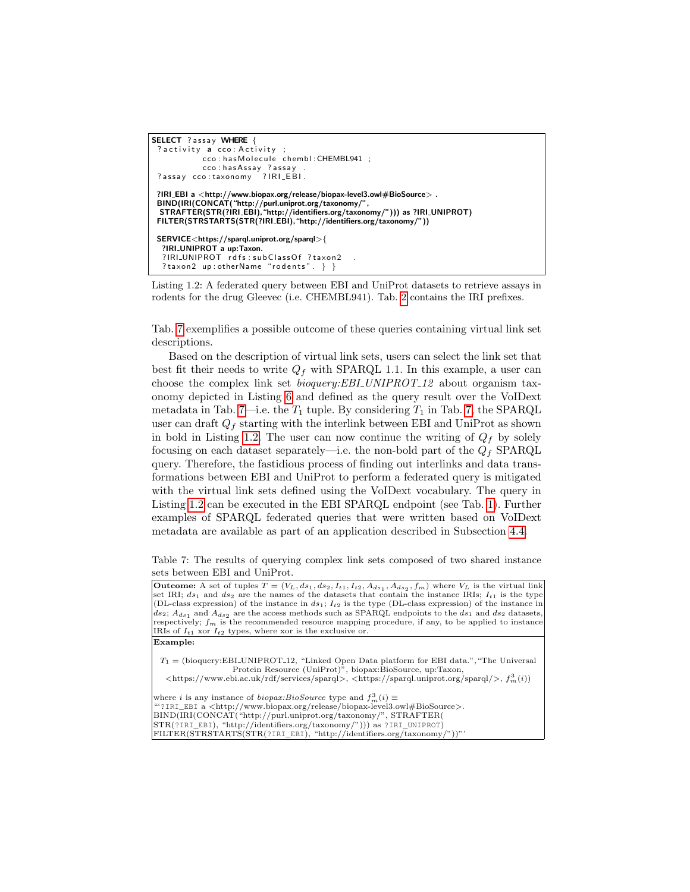```
SELECT ? assay WHERE {
 ? activity a cco: Activity
               cco : has Molecule chembl : CHEMBL941 ;
  . cco:hasAssay ?assay<br>.assay cco:taxonomy ?IRI_EBI?
 ?IRI_EBI a <http://www.biopax.org/release/biopax-level3.owl#BioSource>.
 BIND(IRI(CONCAT("http://purl.uniprot.org/taxonomy/",
 STRAFTER(STR(?IRI EBI),"http://identifiers.org/taxonomy/"))) as ?IRI UNIPROT)
FILTER(STRSTARTS(STR(?IRI EBI),"http://identifiers.org/taxonomy/"))
 SERVICE<https://sparql.uniprot.org/sparql>{
   ?IRI UNIPROT a up:Taxon.
   ?IRI_UNIPROT  rdfs:subClassOf ?taxon2   .<br>?taxon2 up:otherName "rodents". } }
```
Listing 1.2: A federated query between EBI and UniProt datasets to retrieve assays in rodents for the drug Gleevec (i.e. CHEMBL941). Tab. [2](#page-5-0) contains the IRI prefixes.

Tab. [7](#page-13-0) exemplifies a possible outcome of these queries containing virtual link set descriptions.

Based on the description of virtual link sets, users can select the link set that best fit their needs to write  $Q_f$  with SPARQL 1.1. In this example, a user can choose the complex link set *bioquery:EBI\_UNIPROT\_12* about organism taxonomy depicted in Listing [6](#page-12-0) and defined as the query result over the VoIDext metadata in Tab. [7—](#page-13-0)i.e. the  $T_1$  tuple. By considering  $T_1$  in Tab. [7,](#page-13-0) the SPARQL user can draft  $Q_f$  starting with the interlink between EBI and UniProt as shown in bold in Listing [1.2.](#page-13-1) The user can now continue the writing of  $Q_f$  by solely focusing on each dataset separately—i.e. the non-bold part of the  $Q_f$  SPARQL query. Therefore, the fastidious process of finding out interlinks and data transformations between EBI and UniProt to perform a federated query is mitigated with the virtual link sets defined using the VoIDext vocabulary. The query in Listing [1.2](#page-13-1) can be executed in the EBI SPARQL endpoint (see Tab. [1\)](#page-4-2). Further examples of SPARQL federated queries that were written based on VoIDext metadata are available as part of an application described in Subsection [4.4.](#page-14-0)

<span id="page-13-0"></span>Table 7: The results of querying complex link sets composed of two shared instance sets between EBI and UniProt.

| <b>Outcome:</b> A set of tuples $T = (V_L, ds_1, ds_2, I_{t_1}, I_{t_2}, A_{ds_1}, A_{ds_2}, f_m)$ where $V_L$ is the virtual link<br>set IRI; $ds_1$ and $ds_2$ are the names of the datasets that contain the instance IRIs; $I_{t1}$ is the type<br>(DL-class expression) of the instance in $ds_1$ ; $I_{t2}$ is the type (DL-class expression) of the instance in<br>$ ds_2 $ ; $A_{ds_1}$ and $A_{ds_2}$ are the access methods such as SPARQL endpoints to the $ds_1$ and $ds_2$ datasets,<br>respectively; $f_m$ is the recommended resource mapping procedure, if any, to be applied to instance<br>IRIs of $I_{t1}$ xor $I_{t2}$ types, where xor is the exclusive or. |
|----------------------------------------------------------------------------------------------------------------------------------------------------------------------------------------------------------------------------------------------------------------------------------------------------------------------------------------------------------------------------------------------------------------------------------------------------------------------------------------------------------------------------------------------------------------------------------------------------------------------------------------------------------------------------------|
| Example:                                                                                                                                                                                                                                                                                                                                                                                                                                                                                                                                                                                                                                                                         |
| $T_1$ = (bioquery:EBI_UNIPROT_12, "Linked Open Data platform for EBI data.", "The Universal<br>Protein Resource (UniProt)", biopax:BioSource, up:Taxon,<br>$\langle \text{https://www.ebi.ac.uk/rdf/services/sparql}\rangle$ , $\langle \text{https://sparql.uniprot.org/sparql}\rangle$ , $f_{\infty}^{3}(i)$                                                                                                                                                                                                                                                                                                                                                                   |
| where i is any instance of <i>biopax:BioSource</i> type and $f_m^3(i) \equiv$                                                                                                                                                                                                                                                                                                                                                                                                                                                                                                                                                                                                    |
| "?IRI_EBI a <http: biopax-level3.owl#biosource="" release="" www.biopax.org="">.</http:>                                                                                                                                                                                                                                                                                                                                                                                                                                                                                                                                                                                         |
| BIND(IRI(CONCAT("http://purl.uniprot.org/taxonomy/", STRAFTER(                                                                                                                                                                                                                                                                                                                                                                                                                                                                                                                                                                                                                   |
| $\langle \text{STR}(?IRI_EBI), \text{ "http://identifiers.org/taxonomy/")) \rangle$ as $?IRI_UNIPROT$                                                                                                                                                                                                                                                                                                                                                                                                                                                                                                                                                                            |
| FILTER(STRSTARTS(STR(?IRI_EBI), "http://identifiers.org/taxonomy/"))"                                                                                                                                                                                                                                                                                                                                                                                                                                                                                                                                                                                                            |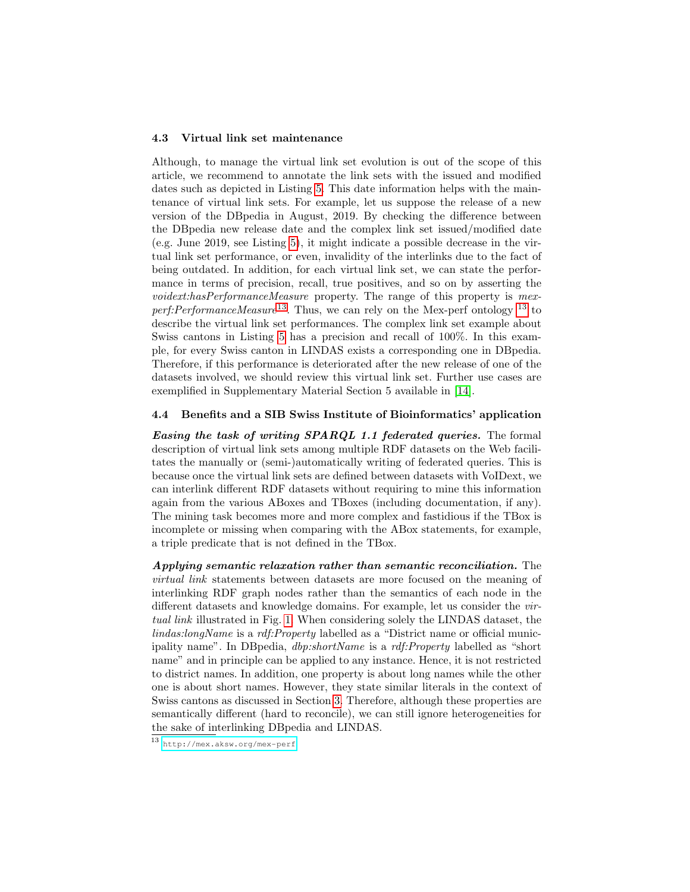### 4.3 Virtual link set maintenance

Although, to manage the virtual link set evolution is out of the scope of this article, we recommend to annotate the link sets with the issued and modified dates such as depicted in Listing [5.](#page-10-0) This date information helps with the maintenance of virtual link sets. For example, let us suppose the release of a new version of the DBpedia in August, 2019. By checking the difference between the DBpedia new release date and the complex link set issued/modified date (e.g. June 2019, see Listing [5\)](#page-10-0), it might indicate a possible decrease in the virtual link set performance, or even, invalidity of the interlinks due to the fact of being outdated. In addition, for each virtual link set, we can state the performance in terms of precision, recall, true positives, and so on by asserting the voidext:hasPerformanceMeasure property. The range of this property is mex-perf: Performance Measure<sup>[13](#page-14-1)</sup>. Thus, we can rely on the Mex-perf ontology <sup>13</sup> to describe the virtual link set performances. The complex link set example about Swiss cantons in Listing [5](#page-10-0) has a precision and recall of 100%. In this example, for every Swiss canton in LINDAS exists a corresponding one in DBpedia. Therefore, if this performance is deteriorated after the new release of one of the datasets involved, we should review this virtual link set. Further use cases are exemplified in Supplementary Material Section 5 available in [\[14\]](#page-16-9).

## <span id="page-14-0"></span>4.4 Benefits and a SIB Swiss Institute of Bioinformatics' application

Easing the task of writing SPARQL 1.1 federated queries. The formal description of virtual link sets among multiple RDF datasets on the Web facilitates the manually or (semi-)automatically writing of federated queries. This is because once the virtual link sets are defined between datasets with VoIDext, we can interlink different RDF datasets without requiring to mine this information again from the various ABoxes and TBoxes (including documentation, if any). The mining task becomes more and more complex and fastidious if the TBox is incomplete or missing when comparing with the ABox statements, for example, a triple predicate that is not defined in the TBox.

Applying semantic relaxation rather than semantic reconciliation. The virtual link statements between datasets are more focused on the meaning of interlinking RDF graph nodes rather than the semantics of each node in the different datasets and knowledge domains. For example, let us consider the virtual link illustrated in Fig. [1.](#page-4-0) When considering solely the LINDAS dataset, the lindas:longName is a rdf:Property labelled as a "District name or official municipality name". In DBpedia, *dbp:shortName* is a *rdf:Property* labelled as "short name" and in principle can be applied to any instance. Hence, it is not restricted to district names. In addition, one property is about long names while the other one is about short names. However, they state similar literals in the context of Swiss cantons as discussed in Section [3.](#page-2-0) Therefore, although these properties are semantically different (hard to reconcile), we can still ignore heterogeneities for the sake of interlinking DBpedia and LINDAS.

<span id="page-14-1"></span><sup>13</sup> <http://mex.aksw.org/mex-perf>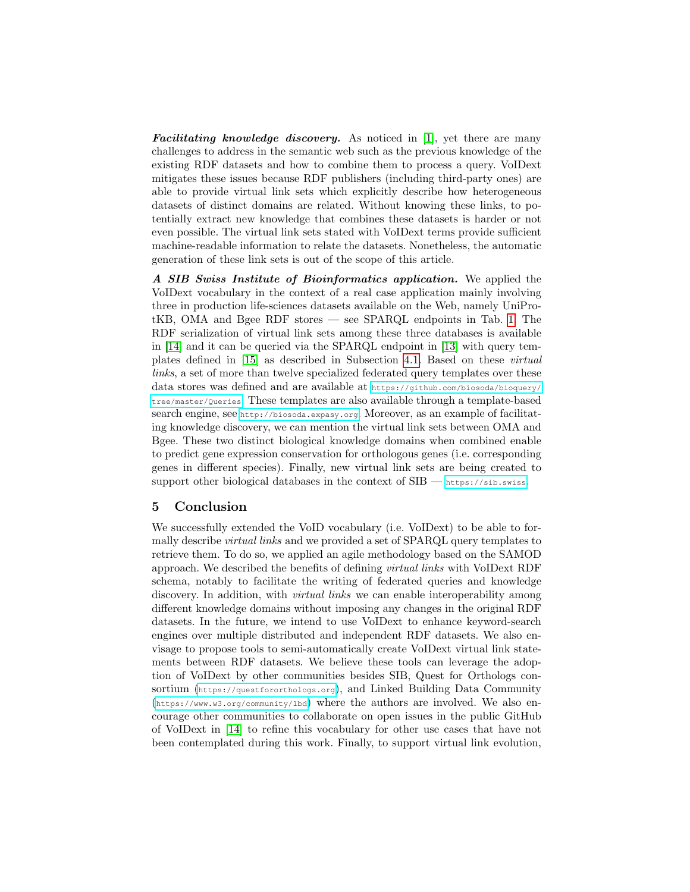**Facilitating knowledge discovery.** As noticed in [\[1\]](#page-16-13), yet there are many challenges to address in the semantic web such as the previous knowledge of the existing RDF datasets and how to combine them to process a query. VoIDext mitigates these issues because RDF publishers (including third-party ones) are able to provide virtual link sets which explicitly describe how heterogeneous datasets of distinct domains are related. Without knowing these links, to potentially extract new knowledge that combines these datasets is harder or not even possible. The virtual link sets stated with VoIDext terms provide sufficient machine-readable information to relate the datasets. Nonetheless, the automatic generation of these link sets is out of the scope of this article.

A SIB Swiss Institute of Bioinformatics application. We applied the VoIDext vocabulary in the context of a real case application mainly involving three in production life-sciences datasets available on the Web, namely UniProtKB, OMA and Bgee RDF stores — see SPARQL endpoints in Tab. [1.](#page-4-2) The RDF serialization of virtual link sets among these three databases is available in [\[14\]](#page-16-9) and it can be queried via the SPARQL endpoint in [\[13\]](#page-16-14) with query templates defined in [\[15\]](#page-16-8) as described in Subsection [4.1.](#page-11-2) Based on these virtual links, a set of more than twelve specialized federated query templates over these data stores was defined and are available at [https://github.com/biosoda/bioquery/](https://github.com/biosoda/bioquery/tree/master/Queries) [tree/master/Queries](https://github.com/biosoda/bioquery/tree/master/Queries). These templates are also available through a template-based search engine, see <http://biosoda.expasy.org>. Moreover, as an example of facilitating knowledge discovery, we can mention the virtual link sets between OMA and Bgee. These two distinct biological knowledge domains when combined enable to predict gene expression conservation for orthologous genes (i.e. corresponding genes in different species). Finally, new virtual link sets are being created to support other biological databases in the context of  $SIB$  — <https://sib.swiss>.

# 5 Conclusion

We successfully extended the VoID vocabulary (i.e. VoIDext) to be able to formally describe virtual links and we provided a set of SPARQL query templates to retrieve them. To do so, we applied an agile methodology based on the SAMOD approach. We described the benefits of defining virtual links with VoIDext RDF schema, notably to facilitate the writing of federated queries and knowledge discovery. In addition, with *virtual links* we can enable interoperability among different knowledge domains without imposing any changes in the original RDF datasets. In the future, we intend to use VoIDext to enhance keyword-search engines over multiple distributed and independent RDF datasets. We also envisage to propose tools to semi-automatically create VoIDext virtual link statements between RDF datasets. We believe these tools can leverage the adoption of VoIDext by other communities besides SIB, Quest for Orthologs consortium (<https://questfororthologs.org>), and Linked Building Data Community (<https://www.w3.org/community/lbd>) where the authors are involved. We also encourage other communities to collaborate on open issues in the public GitHub of VoIDext in [\[14\]](#page-16-9) to refine this vocabulary for other use cases that have not been contemplated during this work. Finally, to support virtual link evolution,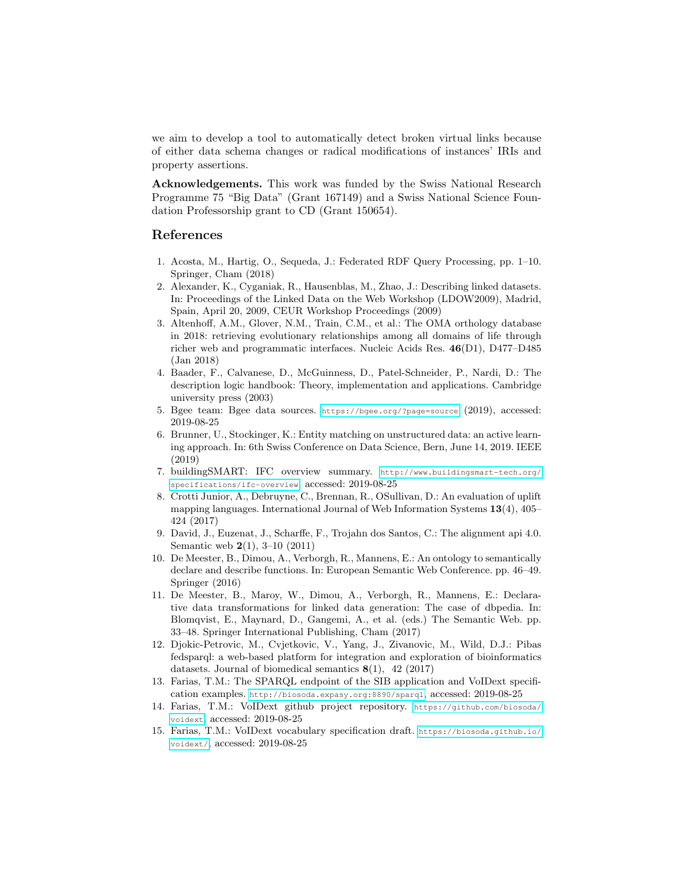we aim to develop a tool to automatically detect broken virtual links because of either data schema changes or radical modifications of instances' IRIs and property assertions.

Acknowledgements. This work was funded by the Swiss National Research Programme 75 "Big Data" (Grant 167149) and a Swiss National Science Foundation Professorship grant to CD (Grant 150654).

# References

- <span id="page-16-13"></span>1. Acosta, M., Hartig, O., Sequeda, J.: Federated RDF Query Processing, pp. 1–10. Springer, Cham (2018)
- <span id="page-16-1"></span>2. Alexander, K., Cyganiak, R., Hausenblas, M., Zhao, J.: Describing linked datasets. In: Proceedings of the Linked Data on the Web Workshop (LDOW2009), Madrid, Spain, April 20, 2009, CEUR Workshop Proceedings (2009)
- <span id="page-16-10"></span>3. Altenhoff, A.M., Glover, N.M., Train, C.M., et al.: The OMA orthology database in 2018: retrieving evolutionary relationships among all domains of life through richer web and programmatic interfaces. Nucleic Acids Res. 46(D1), D477–D485 (Jan 2018)
- <span id="page-16-12"></span>4. Baader, F., Calvanese, D., McGuinness, D., Patel-Schneider, P., Nardi, D.: The description logic handbook: Theory, implementation and applications. Cambridge university press (2003)
- <span id="page-16-11"></span>5. Bgee team: Bgee data sources. <https://bgee.org/?page=source> (2019), accessed: 2019-08-25
- <span id="page-16-3"></span>6. Brunner, U., Stockinger, K.: Entity matching on unstructured data: an active learning approach. In: 6th Swiss Conference on Data Science, Bern, June 14, 2019. IEEE (2019)
- <span id="page-16-0"></span>7. buildingSMART: IFC overview summary. [http://www.buildingsmart-tech.org/](http://www.buildingsmart-tech.org/specifications/ifc-overview) [specifications/ifc-overview](http://www.buildingsmart-tech.org/specifications/ifc-overview), accessed: 2019-08-25
- <span id="page-16-5"></span>8. Crotti Junior, A., Debruyne, C., Brennan, R., OSullivan, D.: An evaluation of uplift mapping languages. International Journal of Web Information Systems  $13(4)$ , 405– 424 (2017)
- <span id="page-16-4"></span>9. David, J., Euzenat, J., Scharffe, F., Trojahn dos Santos, C.: The alignment api 4.0. Semantic web 2(1), 3–10 (2011)
- <span id="page-16-7"></span>10. De Meester, B., Dimou, A., Verborgh, R., Mannens, E.: An ontology to semantically declare and describe functions. In: European Semantic Web Conference. pp. 46–49. Springer (2016)
- <span id="page-16-6"></span>11. De Meester, B., Maroy, W., Dimou, A., Verborgh, R., Mannens, E.: Declarative data transformations for linked data generation: The case of dbpedia. In: Blomqvist, E., Maynard, D., Gangemi, A., et al. (eds.) The Semantic Web. pp. 33–48. Springer International Publishing, Cham (2017)
- <span id="page-16-2"></span>12. Djokic-Petrovic, M., Cvjetkovic, V., Yang, J., Zivanovic, M., Wild, D.J.: Pibas fedsparql: a web-based platform for integration and exploration of bioinformatics datasets. Journal of biomedical semantics  $8(1)$ , 42 (2017)
- <span id="page-16-14"></span>13. Farias, T.M.: The SPARQL endpoint of the SIB application and VoIDext specification examples. <http://biosoda.expasy.org:8890/sparql>, accessed: 2019-08-25
- <span id="page-16-9"></span>14. Farias, T.M.: VoIDext github project repository. [https://github.com/biosoda/](https://github.com/biosoda/voidext) [voidext](https://github.com/biosoda/voidext), accessed: 2019-08-25
- <span id="page-16-8"></span>15. Farias, T.M.: VoIDext vocabulary specification draft. [https://biosoda.github.io/](https://biosoda.github.io/voidext/) [voidext/](https://biosoda.github.io/voidext/), accessed: 2019-08-25